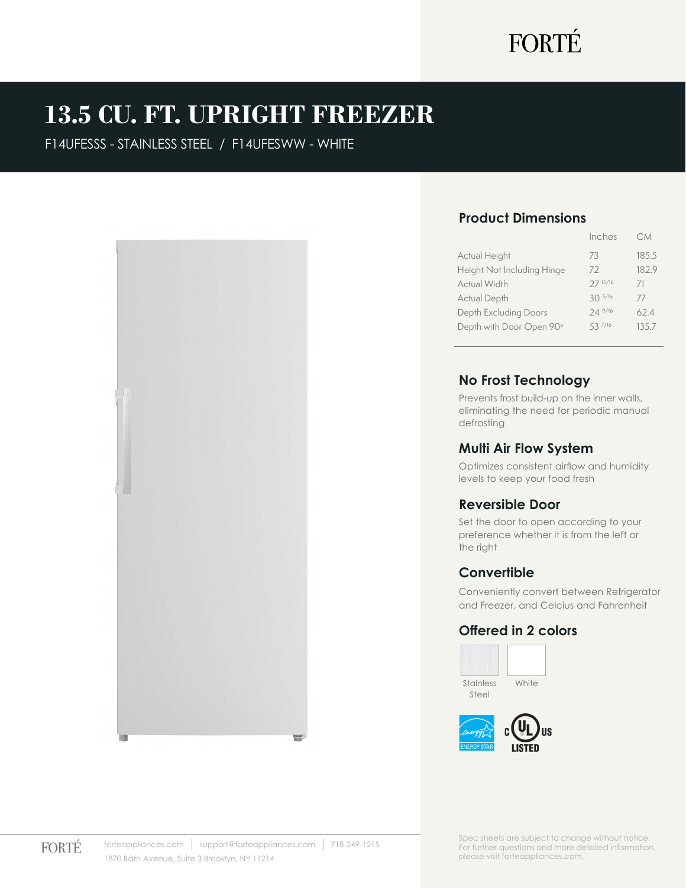# FORTÉ

## **13.5 CU. FT. UPRIGHT FREEZER**

F14UFESSS - STAINLESS STEEL / F14UFESWW - WHITE



#### **Product Dimensions**

|                            | Inches      | C.M   |
|----------------------------|-------------|-------|
| Actual Height              | 73          | 185.5 |
| Height Not Including Hinge | 72          | 182.9 |
| Actual Width               | 27 15/16    | 71    |
| Actual Depth               | $30^{5/16}$ | 77    |
| Depth Excluding Doors      | 24 9/16     | 62.4  |
| Depth with Door Open 90°   | 537/16      | 135.7 |
|                            |             |       |

#### **No Frost Technology**

Prevents frost build-up on the inner walls, eliminating the need for periodic manual defrosting

#### **Multi Air Flow System**

Optimizes consistent airflow and humidity levels to keep your food fresh

#### **Reversible Door**

Set the door to open according to your preference whether it is from the left or the right

#### **Convertible**

Conveniently convert between Refrigerator and Freezer, and Celcius and Fahrenheit

#### **Offered in 2 colors**

Stainless Steel **White** 



**FORTÉ** 

Spec sheets are subject to change without notice. For further questions and more detailed information, please visit forteappliances.com.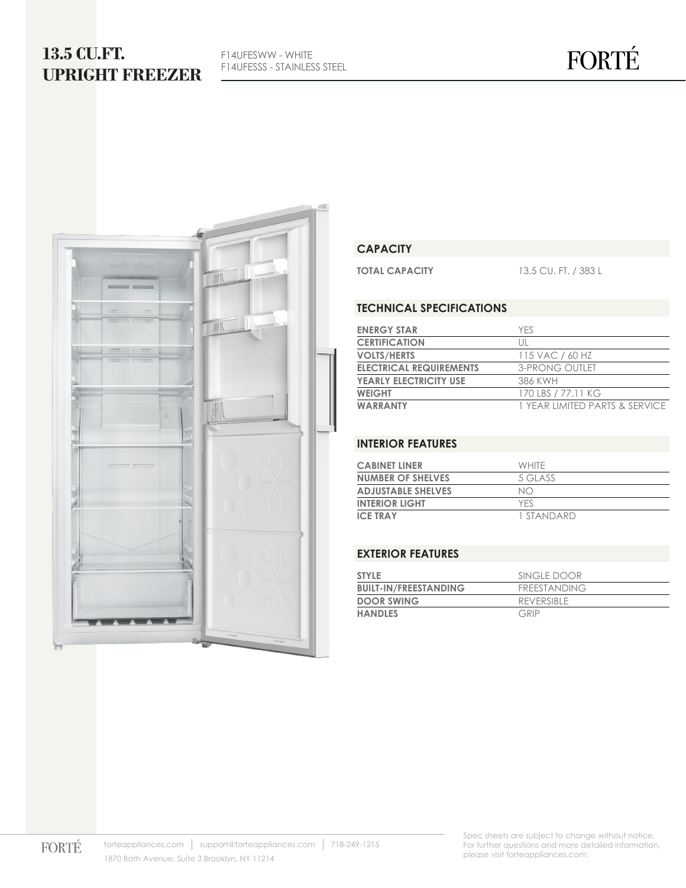## **13.5 CU.FT. UPRIGHT FREEZER**

F14UFESWW - WHITE F14UFESSS - STAINLESS STEEL



#### **CAPACITY**

**TOTAL CAPACITY** 13.5 CU. FT. / 383 L

#### **TECHNICAL SPECIFICATIONS**

| <b>ENERGY STAR</b>             | YFS.                           |
|--------------------------------|--------------------------------|
| <b>CERTIFICATION</b>           | Ш                              |
| <b>VOLTS/HERTS</b>             | 115 VAC / 60 HZ                |
| <b>ELECTRICAL REQUIREMENTS</b> | <b>3-PRONG OUTLET</b>          |
| <b>YEARLY ELECTRICITY USE</b>  | 386 KWH                        |
| <b>WEIGHT</b>                  | 170 LBS / 77.11 KG             |
| <b>WARRANTY</b>                | 1 YEAR LIMITED PARTS & SERVICE |

#### **INTERIOR FEATURES**

| <b>CABINET LINER</b>      | <b>WHITE</b> |
|---------------------------|--------------|
| <b>NUMBER OF SHELVES</b>  | 5 GLASS      |
| <b>ADJUSTABLE SHELVES</b> | NO           |
| <b>INTERIOR LIGHT</b>     | YFS          |
| <b>ICE TRAY</b>           | 1 STANDARD   |

#### **EXTERIOR FEATURES**

| <b>STYLE</b>                 | SINGLE DOOR         |
|------------------------------|---------------------|
| <b>BUILT-IN/FREESTANDING</b> | <b>FREESTANDING</b> |
| <b>DOOR SWING</b>            | REVERSIBLE          |
| <b>HANDLES</b>               | GRIP                |